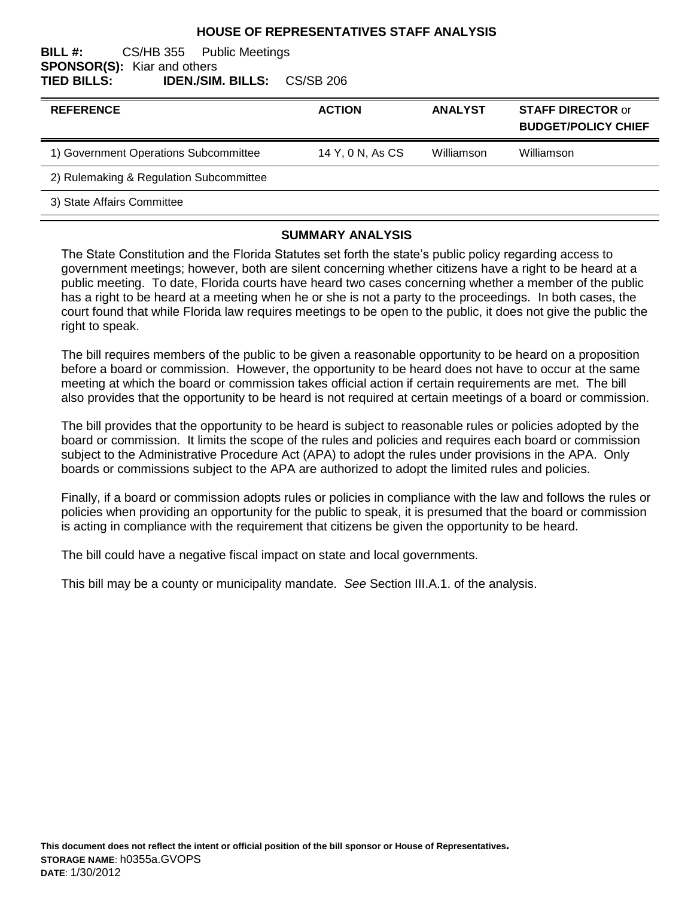### **HOUSE OF REPRESENTATIVES STAFF ANALYSIS**

#### **BILL #:** CS/HB 355 Public Meetings **SPONSOR(S):** Kiar and others **TIED BILLS: IDEN./SIM. BILLS:** CS/SB 206

| <b>REFERENCE</b>                        | <b>ACTION</b>    | <b>ANALYST</b> | <b>STAFF DIRECTOR or</b><br><b>BUDGET/POLICY CHIEF</b> |
|-----------------------------------------|------------------|----------------|--------------------------------------------------------|
| 1) Government Operations Subcommittee   | 14 Y, 0 N, As CS | Williamson     | Williamson                                             |
| 2) Rulemaking & Regulation Subcommittee |                  |                |                                                        |
| 3) State Affairs Committee              |                  |                |                                                        |

#### **SUMMARY ANALYSIS**

The State Constitution and the Florida Statutes set forth the state's public policy regarding access to government meetings; however, both are silent concerning whether citizens have a right to be heard at a public meeting. To date, Florida courts have heard two cases concerning whether a member of the public has a right to be heard at a meeting when he or she is not a party to the proceedings. In both cases, the court found that while Florida law requires meetings to be open to the public, it does not give the public the right to speak.

The bill requires members of the public to be given a reasonable opportunity to be heard on a proposition before a board or commission. However, the opportunity to be heard does not have to occur at the same meeting at which the board or commission takes official action if certain requirements are met. The bill also provides that the opportunity to be heard is not required at certain meetings of a board or commission.

The bill provides that the opportunity to be heard is subject to reasonable rules or policies adopted by the board or commission. It limits the scope of the rules and policies and requires each board or commission subject to the Administrative Procedure Act (APA) to adopt the rules under provisions in the APA. Only boards or commissions subject to the APA are authorized to adopt the limited rules and policies.

Finally, if a board or commission adopts rules or policies in compliance with the law and follows the rules or policies when providing an opportunity for the public to speak, it is presumed that the board or commission is acting in compliance with the requirement that citizens be given the opportunity to be heard.

The bill could have a negative fiscal impact on state and local governments.

This bill may be a county or municipality mandate. *See* Section III.A.1. of the analysis.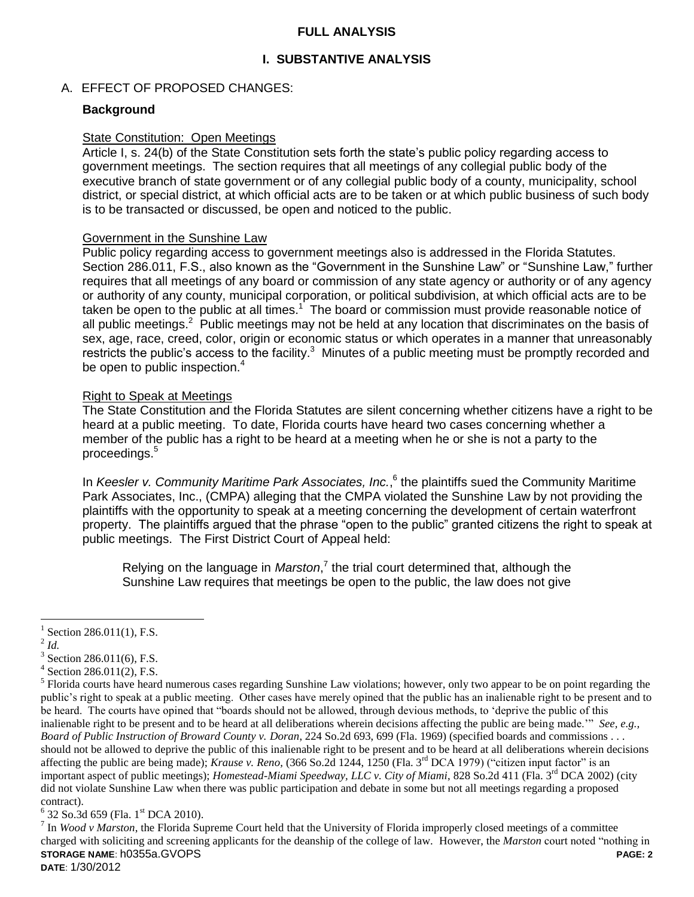## **FULL ANALYSIS**

## **I. SUBSTANTIVE ANALYSIS**

## A. EFFECT OF PROPOSED CHANGES:

### **Background**

#### State Constitution: Open Meetings

Article I, s. 24(b) of the State Constitution sets forth the state's public policy regarding access to government meetings. The section requires that all meetings of any collegial public body of the executive branch of state government or of any collegial public body of a county, municipality, school district, or special district, at which official acts are to be taken or at which public business of such body is to be transacted or discussed, be open and noticed to the public.

#### Government in the Sunshine Law

Public policy regarding access to government meetings also is addressed in the Florida Statutes. Section 286.011, F.S., also known as the "Government in the Sunshine Law" or "Sunshine Law," further requires that all meetings of any board or commission of any state agency or authority or of any agency or authority of any county, municipal corporation, or political subdivision, at which official acts are to be taken be open to the public at all times.<sup>1</sup> The board or commission must provide reasonable notice of all public meetings.<sup>2</sup> Public meetings may not be held at any location that discriminates on the basis of sex, age, race, creed, color, origin or economic status or which operates in a manner that unreasonably restricts the public's access to the facility. $3$  Minutes of a public meeting must be promptly recorded and be open to public inspection.<sup>4</sup>

### Right to Speak at Meetings

The State Constitution and the Florida Statutes are silent concerning whether citizens have a right to be heard at a public meeting. To date, Florida courts have heard two cases concerning whether a member of the public has a right to be heard at a meeting when he or she is not a party to the proceedings.<sup>5</sup>

In *Keesler v. Community Maritime Park Associates, Inc.*,<sup>6</sup> the plaintiffs sued the Community Maritime Park Associates, Inc., (CMPA) alleging that the CMPA violated the Sunshine Law by not providing the plaintiffs with the opportunity to speak at a meeting concerning the development of certain waterfront property. The plaintiffs argued that the phrase "open to the public" granted citizens the right to speak at public meetings. The First District Court of Appeal held:

Relying on the language in *Marston*,<sup>7</sup> the trial court determined that, although the Sunshine Law requires that meetings be open to the public, the law does not give

 $\overline{a}$ 

 $6$  32 So.3d 659 (Fla. 1st DCA 2010).

**STORAGE NAME**: h0355a.GVOPS **PAGE: 2 DATE**: 1/30/2012  $^7$  In *Wood v Marston*, the Florida Supreme Court held that the University of Florida improperly closed meetings of a committee charged with soliciting and screening applicants for the deanship of the college of law. However, the *Marston* court noted "nothing in

<sup>1</sup> Section 286.011(1), F.S.

<sup>2</sup> *Id.*

 $3$  Section 286.011(6), F.S.

<sup>4</sup> Section 286.011(2), F.S.

<sup>&</sup>lt;sup>5</sup> Florida courts have heard numerous cases regarding Sunshine Law violations; however, only two appear to be on point regarding the public"s right to speak at a public meeting. Other cases have merely opined that the public has an inalienable right to be present and to be heard. The courts have opined that "boards should not be allowed, through devious methods, to "deprive the public of this inalienable right to be present and to be heard at all deliberations wherein decisions affecting the public are being made."" *See, e.g., Board of Public Instruction of Broward County v. Doran*, 224 So.2d 693, 699 (Fla. 1969) (specified boards and commissions . . . should not be allowed to deprive the public of this inalienable right to be present and to be heard at all deliberations wherein decisions affecting the public are being made); *Krause v. Reno,* (366 So.2d 1244, 1250 (Fla. 3rd DCA 1979) ("citizen input factor" is an important aspect of public meetings); *Homestead-Miami Speedway, LLC v. City of Miami*, 828 So.2d 411 (Fla. 3<sup>rd</sup> DCA 2002) (city did not violate Sunshine Law when there was public participation and debate in some but not all meetings regarding a proposed contract).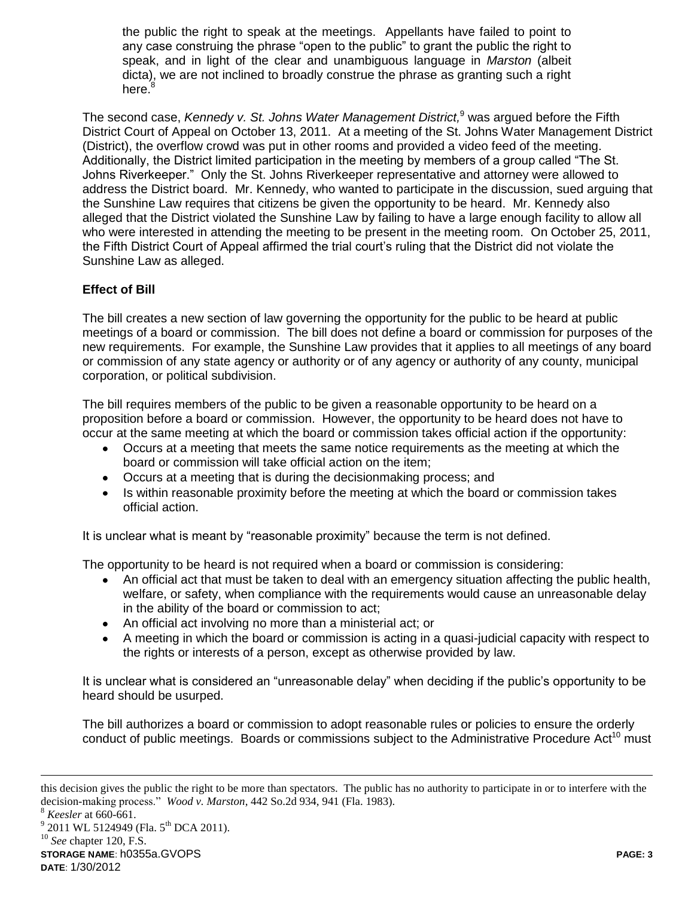the public the right to speak at the meetings. Appellants have failed to point to any case construing the phrase "open to the public" to grant the public the right to speak, and in light of the clear and unambiguous language in *Marston* (albeit dicta), we are not inclined to broadly construe the phrase as granting such a right here.<sup>8</sup>

The second case, *Kennedy v. St. Johns Water Management District,* <sup>9</sup> was argued before the Fifth District Court of Appeal on October 13, 2011. At a meeting of the St. Johns Water Management District (District), the overflow crowd was put in other rooms and provided a video feed of the meeting. Additionally, the District limited participation in the meeting by members of a group called "The St. Johns Riverkeeper." Only the St. Johns Riverkeeper representative and attorney were allowed to address the District board. Mr. Kennedy, who wanted to participate in the discussion, sued arguing that the Sunshine Law requires that citizens be given the opportunity to be heard. Mr. Kennedy also alleged that the District violated the Sunshine Law by failing to have a large enough facility to allow all who were interested in attending the meeting to be present in the meeting room. On October 25, 2011, the Fifth District Court of Appeal affirmed the trial court's ruling that the District did not violate the Sunshine Law as alleged.

# **Effect of Bill**

The bill creates a new section of law governing the opportunity for the public to be heard at public meetings of a board or commission. The bill does not define a board or commission for purposes of the new requirements. For example, the Sunshine Law provides that it applies to all meetings of any board or commission of any state agency or authority or of any agency or authority of any county, municipal corporation, or political subdivision.

The bill requires members of the public to be given a reasonable opportunity to be heard on a proposition before a board or commission. However, the opportunity to be heard does not have to occur at the same meeting at which the board or commission takes official action if the opportunity:

- Occurs at a meeting that meets the same notice requirements as the meeting at which the board or commission will take official action on the item;
- Occurs at a meeting that is during the decisionmaking process; and
- Is within reasonable proximity before the meeting at which the board or commission takes official action.

It is unclear what is meant by "reasonable proximity" because the term is not defined.

The opportunity to be heard is not required when a board or commission is considering:

- An official act that must be taken to deal with an emergency situation affecting the public health, welfare, or safety, when compliance with the requirements would cause an unreasonable delay in the ability of the board or commission to act;
- An official act involving no more than a ministerial act; or
- A meeting in which the board or commission is acting in a quasi-judicial capacity with respect to the rights or interests of a person, except as otherwise provided by law.

It is unclear what is considered an "unreasonable delay" when deciding if the public's opportunity to be heard should be usurped.

The bill authorizes a board or commission to adopt reasonable rules or policies to ensure the orderly conduct of public meetings. Boards or commissions subject to the Administrative Procedure Act<sup>10</sup> must

 $\overline{a}$ 

this decision gives the public the right to be more than spectators. The public has no authority to participate in or to interfere with the decision-making process." *Wood v. Marston*, 442 So.2d 934, 941 (Fla. 1983).

<sup>8</sup> *Keesler* at 660-661.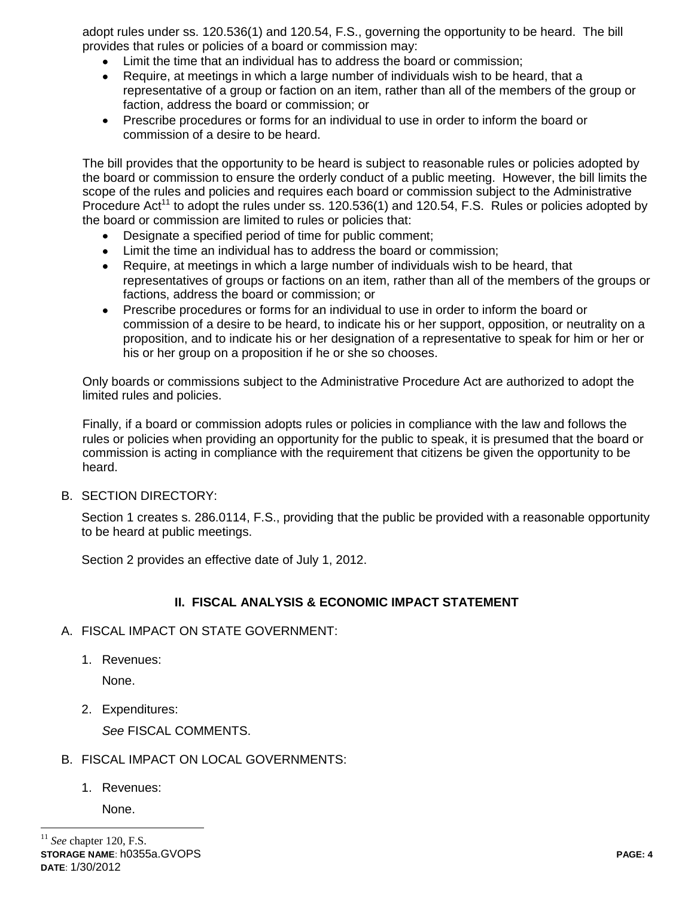adopt rules under ss. 120.536(1) and 120.54, F.S., governing the opportunity to be heard. The bill provides that rules or policies of a board or commission may:

- Limit the time that an individual has to address the board or commission;
- Require, at meetings in which a large number of individuals wish to be heard, that a representative of a group or faction on an item, rather than all of the members of the group or faction, address the board or commission; or
- Prescribe procedures or forms for an individual to use in order to inform the board or  $\bullet$ commission of a desire to be heard.

The bill provides that the opportunity to be heard is subject to reasonable rules or policies adopted by the board or commission to ensure the orderly conduct of a public meeting. However, the bill limits the scope of the rules and policies and requires each board or commission subject to the Administrative Procedure Act<sup>11</sup> to adopt the rules under ss. 120.536(1) and 120.54, F.S. Rules or policies adopted by the board or commission are limited to rules or policies that:

- Designate a specified period of time for public comment;
- Limit the time an individual has to address the board or commission;
- Require, at meetings in which a large number of individuals wish to be heard, that representatives of groups or factions on an item, rather than all of the members of the groups or factions, address the board or commission; or
- Prescribe procedures or forms for an individual to use in order to inform the board or commission of a desire to be heard, to indicate his or her support, opposition, or neutrality on a proposition, and to indicate his or her designation of a representative to speak for him or her or his or her group on a proposition if he or she so chooses.

Only boards or commissions subject to the Administrative Procedure Act are authorized to adopt the limited rules and policies.

Finally, if a board or commission adopts rules or policies in compliance with the law and follows the rules or policies when providing an opportunity for the public to speak, it is presumed that the board or commission is acting in compliance with the requirement that citizens be given the opportunity to be heard.

B. SECTION DIRECTORY:

Section 1 creates s. 286.0114, F.S., providing that the public be provided with a reasonable opportunity to be heard at public meetings.

Section 2 provides an effective date of July 1, 2012.

# **II. FISCAL ANALYSIS & ECONOMIC IMPACT STATEMENT**

- A. FISCAL IMPACT ON STATE GOVERNMENT:
	- 1. Revenues:

None.

2. Expenditures:

*See* FISCAL COMMENTS.

- B. FISCAL IMPACT ON LOCAL GOVERNMENTS:
	- 1. Revenues:

None.

 $\overline{a}$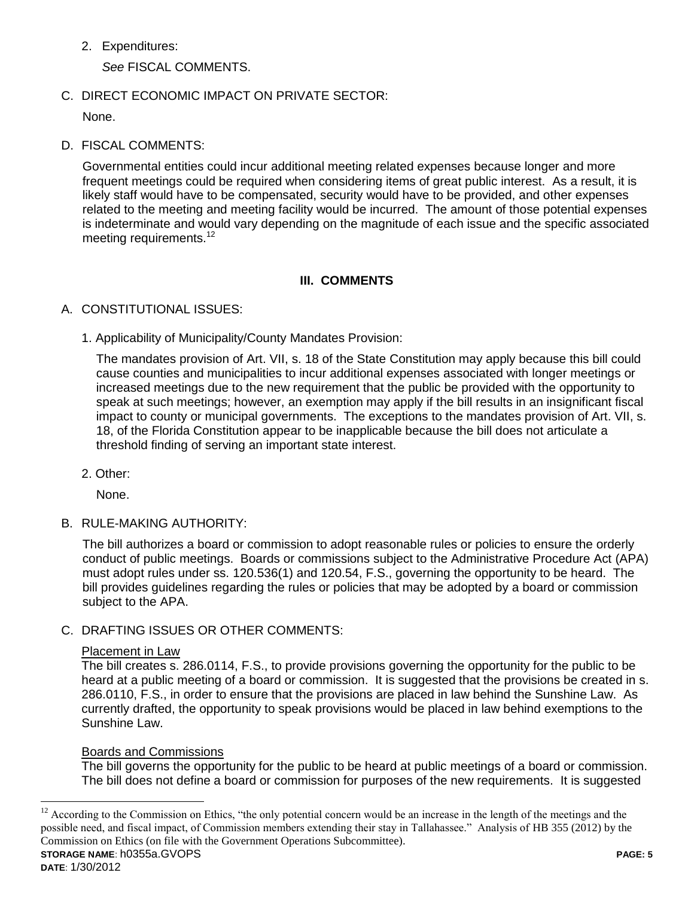2. Expenditures:

*See* FISCAL COMMENTS.

C. DIRECT ECONOMIC IMPACT ON PRIVATE SECTOR:

None.

D. FISCAL COMMENTS:

Governmental entities could incur additional meeting related expenses because longer and more frequent meetings could be required when considering items of great public interest. As a result, it is likely staff would have to be compensated, security would have to be provided, and other expenses related to the meeting and meeting facility would be incurred. The amount of those potential expenses is indeterminate and would vary depending on the magnitude of each issue and the specific associated meeting requirements.<sup>12</sup>

# **III. COMMENTS**

# A. CONSTITUTIONAL ISSUES:

1. Applicability of Municipality/County Mandates Provision:

The mandates provision of Art. VII, s. 18 of the State Constitution may apply because this bill could cause counties and municipalities to incur additional expenses associated with longer meetings or increased meetings due to the new requirement that the public be provided with the opportunity to speak at such meetings; however, an exemption may apply if the bill results in an insignificant fiscal impact to county or municipal governments. The exceptions to the mandates provision of Art. VII, s. 18, of the Florida Constitution appear to be inapplicable because the bill does not articulate a threshold finding of serving an important state interest.

2. Other:

None.

B. RULE-MAKING AUTHORITY:

The bill authorizes a board or commission to adopt reasonable rules or policies to ensure the orderly conduct of public meetings. Boards or commissions subject to the Administrative Procedure Act (APA) must adopt rules under ss. 120.536(1) and 120.54, F.S., governing the opportunity to be heard. The bill provides guidelines regarding the rules or policies that may be adopted by a board or commission subject to the APA.

C. DRAFTING ISSUES OR OTHER COMMENTS:

# Placement in Law

The bill creates s. 286.0114, F.S., to provide provisions governing the opportunity for the public to be heard at a public meeting of a board or commission. It is suggested that the provisions be created in s. 286.0110, F.S., in order to ensure that the provisions are placed in law behind the Sunshine Law. As currently drafted, the opportunity to speak provisions would be placed in law behind exemptions to the Sunshine Law.

# Boards and Commissions

The bill governs the opportunity for the public to be heard at public meetings of a board or commission. The bill does not define a board or commission for purposes of the new requirements. It is suggested

 $\overline{a}$ 

**STORAGE NAME**: h0355a.GVOPS **PAGE: 5**  $12$  According to the Commission on Ethics, "the only potential concern would be an increase in the length of the meetings and the possible need, and fiscal impact, of Commission members extending their stay in Tallahassee." Analysis of HB 355 (2012) by the Commission on Ethics (on file with the Government Operations Subcommittee).